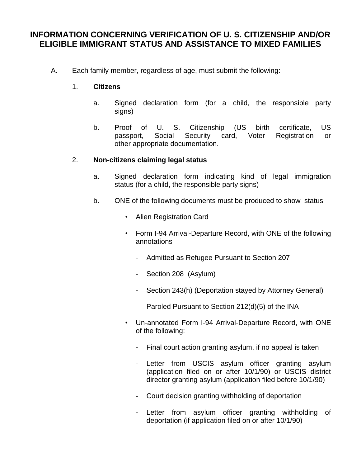## **INFORMATION CONCERNING VERIFICATION OF U. S. CITIZENSHIP AND/OR ELIGIBLE IMMIGRANT STATUS AND ASSISTANCE TO MIXED FAMILIES**

A. Each family member, regardless of age, must submit the following:

## 1. **Citizens**

- a. Signed declaration form (for a child, the responsible party signs)
- b. Proof of U. S. Citizenship (US birth certificate, US passport, Social Security card, Voter Registration or other appropriate documentation.

## 2. **Non-citizens claiming legal status**

- a. Signed declaration form indicating kind of legal immigration status (for a child, the responsible party signs)
- b. ONE of the following documents must be produced to show status
	- Alien Registration Card
	- Form I-94 Arrival-Departure Record, with ONE of the following annotations
		- Admitted as Refugee Pursuant to Section 207
		- Section 208 (Asylum)
		- Section 243(h) (Deportation stayed by Attorney General)
		- Paroled Pursuant to Section 212(d)(5) of the INA
	- Un-annotated Form I-94 Arrival-Departure Record, with ONE of the following:
		- Final court action granting asylum, if no appeal is taken
		- Letter from USCIS asylum officer granting asylum (application filed on or after 10/1/90) or USCIS district director granting asylum (application filed before 10/1/90)
		- Court decision granting withholding of deportation
		- Letter from asylum officer granting withholding of deportation (if application filed on or after 10/1/90)